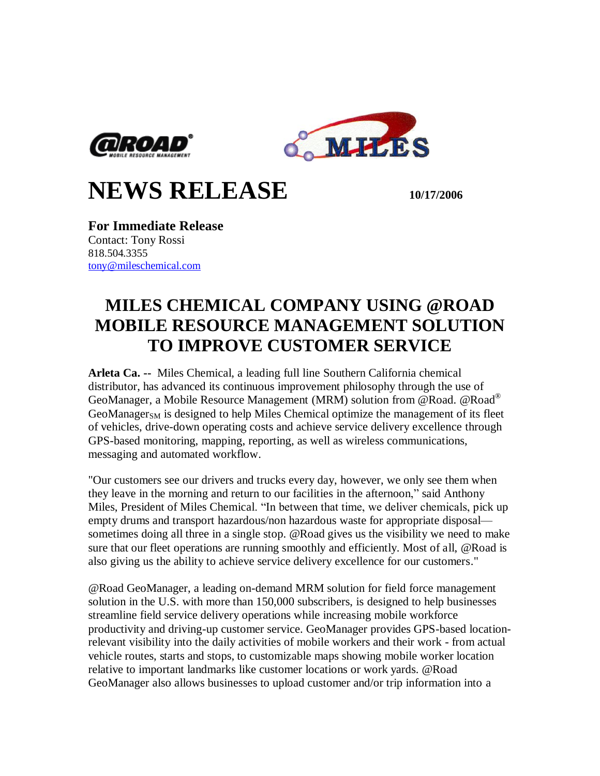



## **NEWS RELEASE 10/17/2006**

**For Immediate Release** Contact: Tony Rossi 818.504.3355 [tony@mileschemical.com](mailto:tony@mileschemical.com)

## **MILES CHEMICAL COMPANY USING @ROAD MOBILE RESOURCE MANAGEMENT SOLUTION TO IMPROVE CUSTOMER SERVICE**

**Arleta Ca. --** Miles Chemical, a leading full line Southern California chemical distributor, has advanced its continuous improvement philosophy through the use of GeoManager, a Mobile Resource Management (MRM) solution from @Road. @Road®  $GeoManager<sub>SM</sub>$  is designed to help Miles Chemical optimize the management of its fleet of vehicles, drive-down operating costs and achieve service delivery excellence through GPS-based monitoring, mapping, reporting, as well as wireless communications, messaging and automated workflow.

"Our customers see our drivers and trucks every day, however, we only see them when they leave in the morning and return to our facilities in the afternoon," said Anthony Miles, President of Miles Chemical. "In between that time, we deliver chemicals, pick up empty drums and transport hazardous/non hazardous waste for appropriate disposal sometimes doing all three in a single stop. @Road gives us the visibility we need to make sure that our fleet operations are running smoothly and efficiently. Most of all, @Road is also giving us the ability to achieve service delivery excellence for our customers."

@Road GeoManager, a leading on-demand MRM solution for field force management solution in the U.S. with more than 150,000 subscribers, is designed to help businesses streamline field service delivery operations while increasing mobile workforce productivity and driving-up customer service. GeoManager provides GPS-based locationrelevant visibility into the daily activities of mobile workers and their work - from actual vehicle routes, starts and stops, to customizable maps showing mobile worker location relative to important landmarks like customer locations or work yards. @Road GeoManager also allows businesses to upload customer and/or trip information into a